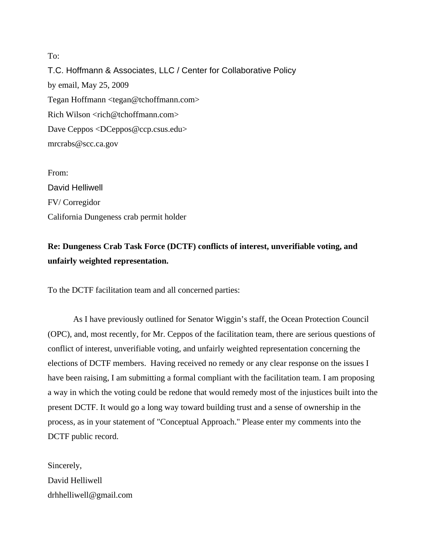To: T.C. Hoffmann & Associates, LLC / Center for Collaborative Policy by email, May 25, 2009 Tegan Hoffmann <tegan@tchoffmann.com> Rich Wilson <rich@tchoffmann.com> Dave Ceppos <DCeppos@ccp.csus.edu> mrcrabs@scc.ca.gov

From: David Helliwell FV/ Corregidor California Dungeness crab permit holder

## **Re: Dungeness Crab Task Force (DCTF) conflicts of interest, unverifiable voting, and unfairly weighted representation.**

To the DCTF facilitation team and all concerned parties:

 As I have previously outlined for Senator Wiggin's staff, the Ocean Protection Council (OPC), and, most recently, for Mr. Ceppos of the facilitation team, there are serious questions of conflict of interest, unverifiable voting, and unfairly weighted representation concerning the elections of DCTF members. Having received no remedy or any clear response on the issues I have been raising, I am submitting a formal compliant with the facilitation team. I am proposing a way in which the voting could be redone that would remedy most of the injustices built into the present DCTF. It would go a long way toward building trust and a sense of ownership in the process, as in your statement of "Conceptual Approach." Please enter my comments into the DCTF public record.

Sincerely, David Helliwell drhhelliwell@gmail.com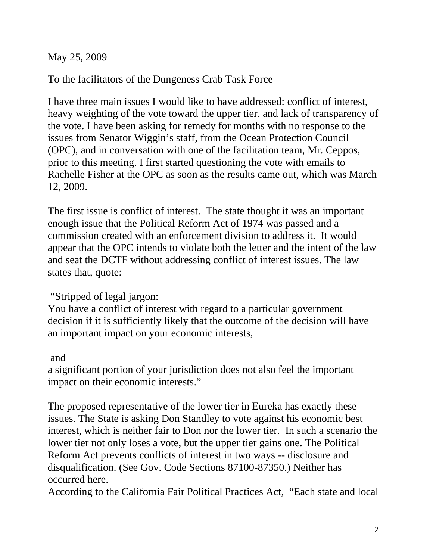May 25, 2009

To the facilitators of the Dungeness Crab Task Force

I have three main issues I would like to have addressed: conflict of interest, heavy weighting of the vote toward the upper tier, and lack of transparency of the vote. I have been asking for remedy for months with no response to the issues from Senator Wiggin's staff, from the Ocean Protection Council (OPC), and in conversation with one of the facilitation team, Mr. Ceppos, prior to this meeting. I first started questioning the vote with emails to Rachelle Fisher at the OPC as soon as the results came out, which was March 12, 2009.

The first issue is conflict of interest. The state thought it was an important enough issue that the Political Reform Act of 1974 was passed and a commission created with an enforcement division to address it. It would appear that the OPC intends to violate both the letter and the intent of the law and seat the DCTF without addressing conflict of interest issues. The law states that, quote:

## "Stripped of legal jargon:

You have a conflict of interest with regard to a particular government decision if it is sufficiently likely that the outcome of the decision will have an important impact on your economic interests,

## and

a significant portion of your jurisdiction does not also feel the important impact on their economic interests."

The proposed representative of the lower tier in Eureka has exactly these issues. The State is asking Don Standley to vote against his economic best interest, which is neither fair to Don nor the lower tier. In such a scenario the lower tier not only loses a vote, but the upper tier gains one. The Political Reform Act prevents conflicts of interest in two ways -- disclosure and disqualification. (See Gov. Code Sections 87100-87350.) Neither has occurred here.

According to the California Fair Political Practices Act, "Each state and local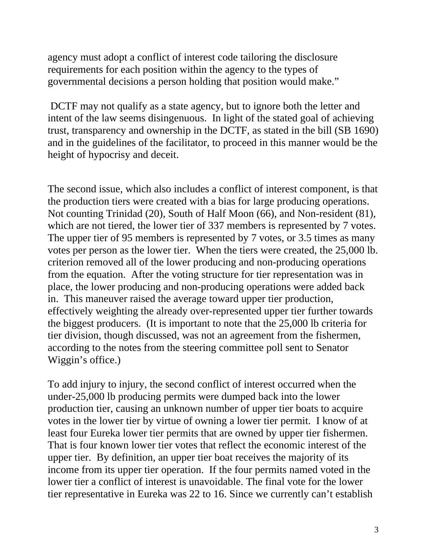agency must adopt a conflict of interest code tailoring the disclosure requirements for each position within the agency to the types of governmental decisions a person holding that position would make."

 DCTF may not qualify as a state agency, but to ignore both the letter and intent of the law seems disingenuous. In light of the stated goal of achieving trust, transparency and ownership in the DCTF, as stated in the bill (SB 1690) and in the guidelines of the facilitator, to proceed in this manner would be the height of hypocrisy and deceit.

The second issue, which also includes a conflict of interest component, is that the production tiers were created with a bias for large producing operations. Not counting Trinidad (20), South of Half Moon (66), and Non-resident (81), which are not tiered, the lower tier of 337 members is represented by 7 votes. The upper tier of 95 members is represented by 7 votes, or 3.5 times as many votes per person as the lower tier. When the tiers were created, the 25,000 lb. criterion removed all of the lower producing and non-producing operations from the equation. After the voting structure for tier representation was in place, the lower producing and non-producing operations were added back in. This maneuver raised the average toward upper tier production, effectively weighting the already over-represented upper tier further towards the biggest producers. (It is important to note that the 25,000 lb criteria for tier division, though discussed, was not an agreement from the fishermen, according to the notes from the steering committee poll sent to Senator Wiggin's office.)

To add injury to injury, the second conflict of interest occurred when the under-25,000 lb producing permits were dumped back into the lower production tier, causing an unknown number of upper tier boats to acquire votes in the lower tier by virtue of owning a lower tier permit. I know of at least four Eureka lower tier permits that are owned by upper tier fishermen. That is four known lower tier votes that reflect the economic interest of the upper tier. By definition, an upper tier boat receives the majority of its income from its upper tier operation. If the four permits named voted in the lower tier a conflict of interest is unavoidable. The final vote for the lower tier representative in Eureka was 22 to 16. Since we currently can't establish